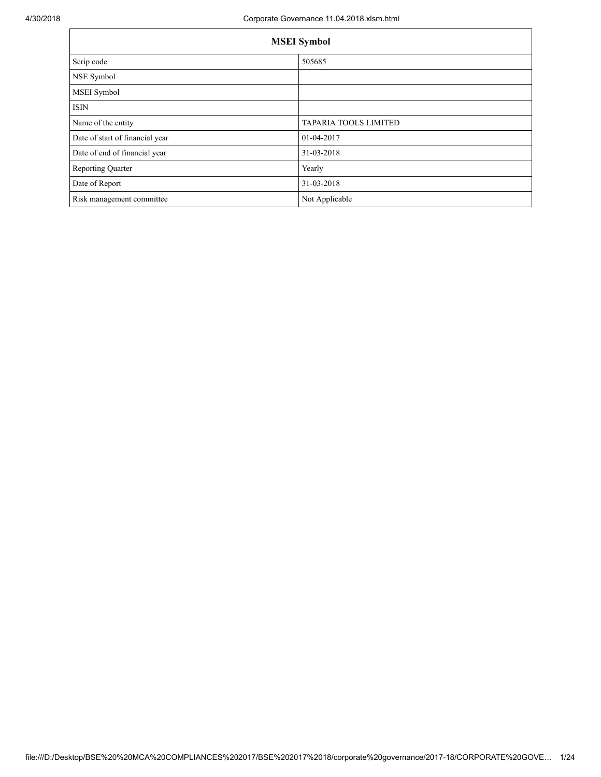| <b>MSEI</b> Symbol              |                       |  |  |
|---------------------------------|-----------------------|--|--|
| Scrip code                      | 505685                |  |  |
| NSE Symbol                      |                       |  |  |
| MSEI Symbol                     |                       |  |  |
| ISIN                            |                       |  |  |
| Name of the entity              | TAPARIA TOOLS LIMITED |  |  |
| Date of start of financial year | 01-04-2017            |  |  |
| Date of end of financial year   | 31-03-2018            |  |  |
| Reporting Quarter               | Yearly                |  |  |
| Date of Report                  | 31-03-2018            |  |  |
| Risk management committee       | Not Applicable        |  |  |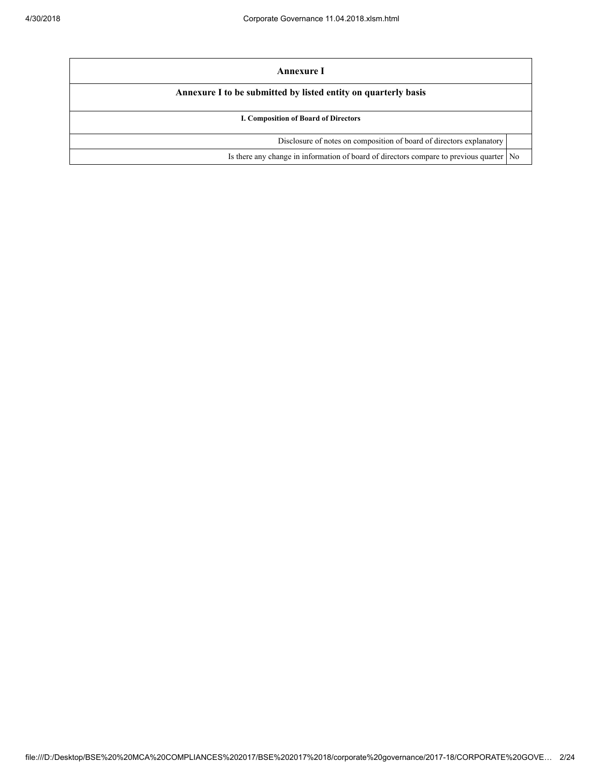| Annexure I                                                                              |  |
|-----------------------------------------------------------------------------------------|--|
| Annexure I to be submitted by listed entity on quarterly basis                          |  |
| I. Composition of Board of Directors                                                    |  |
| Disclosure of notes on composition of board of directors explanatory                    |  |
| Is there any change in information of board of directors compare to previous quarter No |  |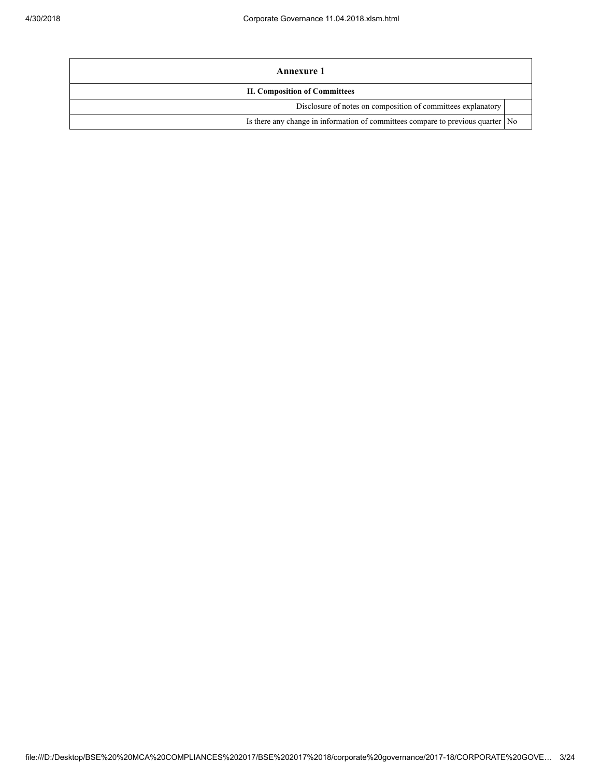| Annexure 1                                                                        |  |  |
|-----------------------------------------------------------------------------------|--|--|
| <b>II. Composition of Committees</b>                                              |  |  |
| Disclosure of notes on composition of committees explanatory                      |  |  |
| Is there any change in information of committees compare to previous quarter   No |  |  |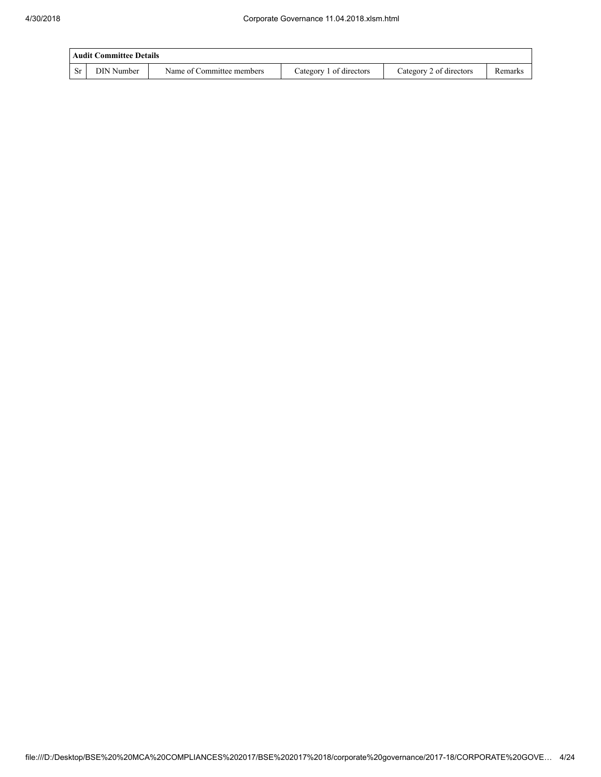|     | Audit Committee Details |                           |                         |                         |         |  |
|-----|-------------------------|---------------------------|-------------------------|-------------------------|---------|--|
| -Sr | DIN Number              | Name of Committee members | Category 1 of directors | Category 2 of directors | Remarks |  |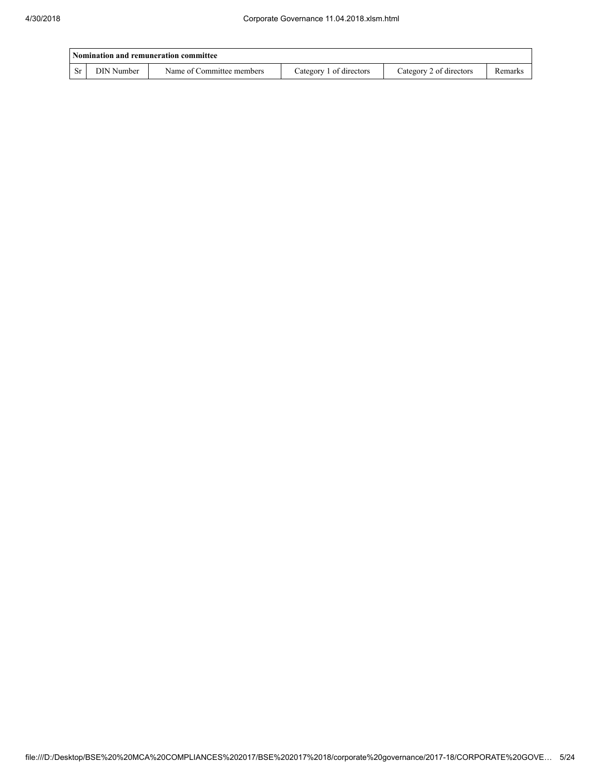|     | Nomination and remuneration committee |                           |                         |                         |                |  |
|-----|---------------------------------------|---------------------------|-------------------------|-------------------------|----------------|--|
| -St | DIN Number                            | Name of Committee members | Category 1 of directors | Category 2 of directors | <b>Remarks</b> |  |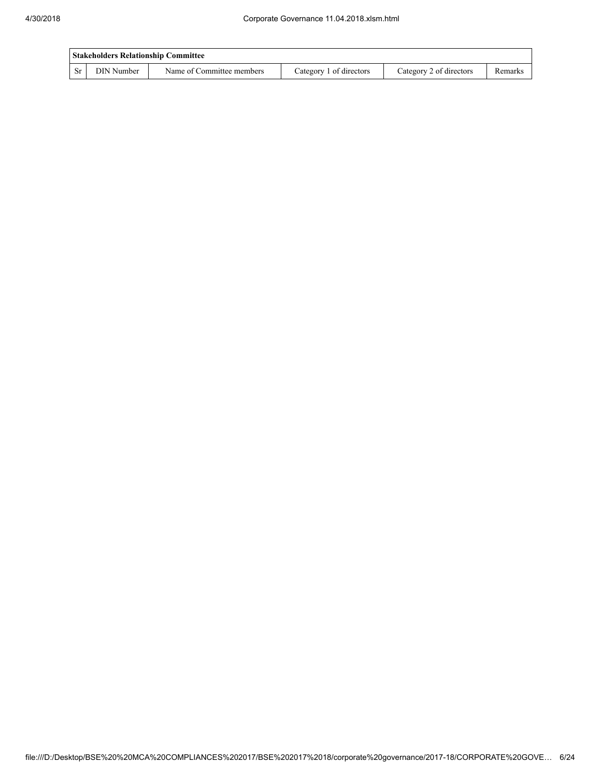| <b>Stakeholders Relationship Committee</b> |            |                           |                         |                         |         |  |
|--------------------------------------------|------------|---------------------------|-------------------------|-------------------------|---------|--|
| -Sr                                        | DIN Number | Name of Committee members | Category 1 of directors | Category 2 of directors | Remarks |  |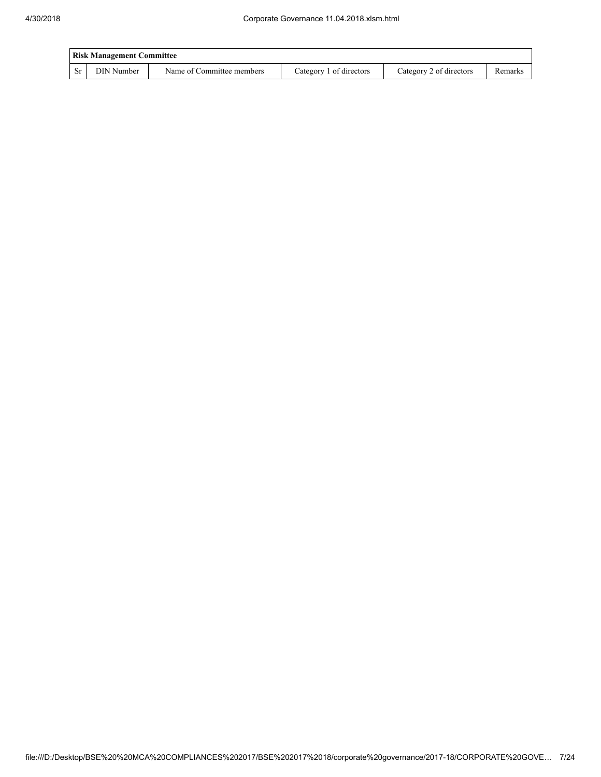| <b>Risk Management Committee</b> |            |                           |                         |                         |         |  |
|----------------------------------|------------|---------------------------|-------------------------|-------------------------|---------|--|
| -Sr                              | DIN Number | Name of Committee members | Category 1 of directors | Category 2 of directors | Remarks |  |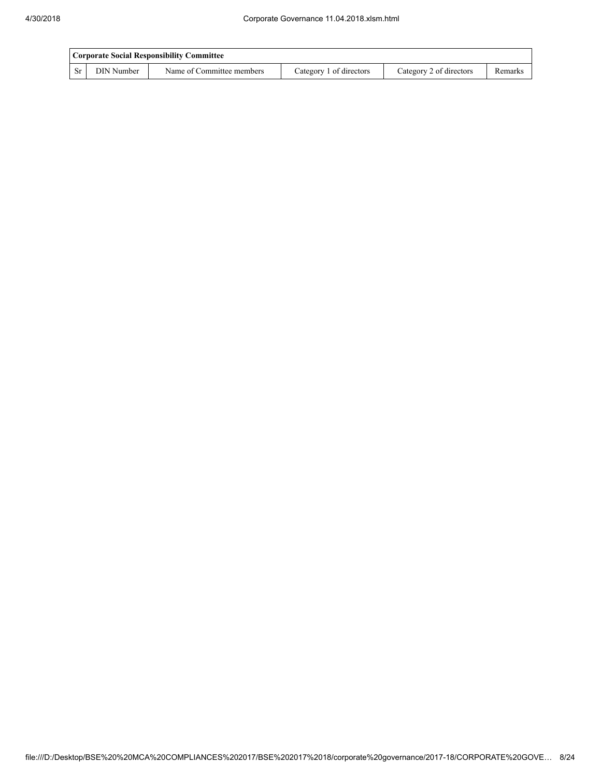|    | Corporate Social Responsibility Committee |                           |                         |                         |         |  |
|----|-------------------------------------------|---------------------------|-------------------------|-------------------------|---------|--|
| Sr | DIN Number                                | Name of Committee members | Category 1 of directors | Category 2 of directors | Remarks |  |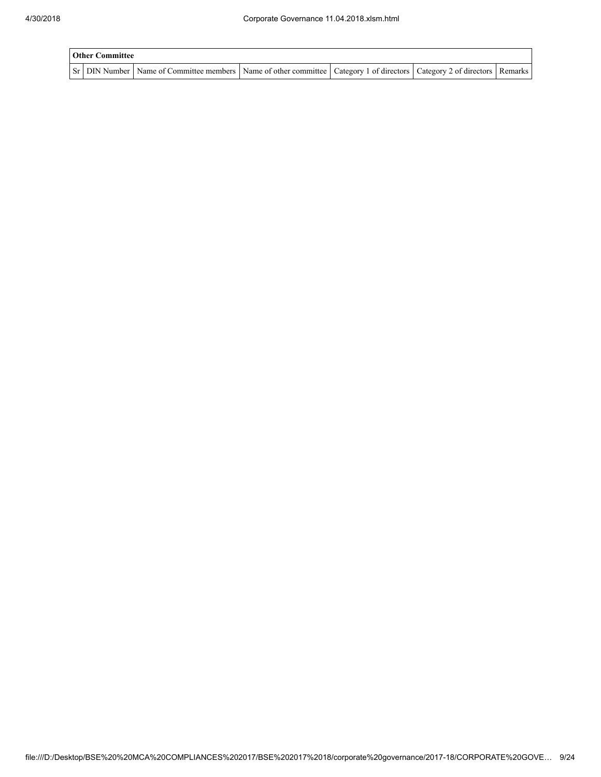| <b>Other Committee</b> |                                                                                                                                     |  |  |  |  |  |
|------------------------|-------------------------------------------------------------------------------------------------------------------------------------|--|--|--|--|--|
|                        | Sr   DIN Number   Name of Committee members   Name of other committee   Category 1 of directors   Category 2 of directors   Remarks |  |  |  |  |  |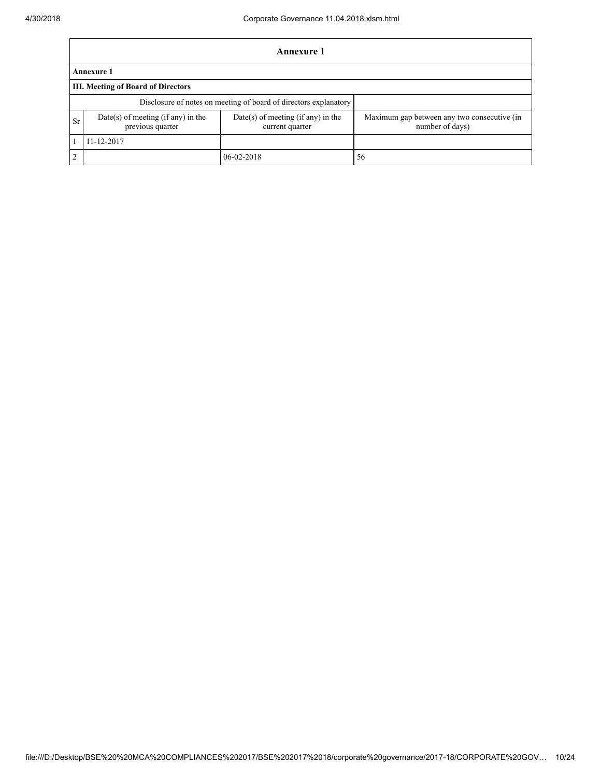|    | Annexure 1                                                                                                        |                                                                  |                                                                |  |  |  |  |
|----|-------------------------------------------------------------------------------------------------------------------|------------------------------------------------------------------|----------------------------------------------------------------|--|--|--|--|
|    | <b>Annexure 1</b>                                                                                                 |                                                                  |                                                                |  |  |  |  |
|    | III. Meeting of Board of Directors                                                                                |                                                                  |                                                                |  |  |  |  |
|    |                                                                                                                   | Disclosure of notes on meeting of board of directors explanatory |                                                                |  |  |  |  |
| Sr | Date(s) of meeting (if any) in the<br>$Date(s)$ of meeting (if any) in the<br>previous quarter<br>current quarter |                                                                  | Maximum gap between any two consecutive (in<br>number of days) |  |  |  |  |
|    | 11-12-2017                                                                                                        |                                                                  |                                                                |  |  |  |  |
| 2  |                                                                                                                   | $06 - 02 - 2018$                                                 | 56                                                             |  |  |  |  |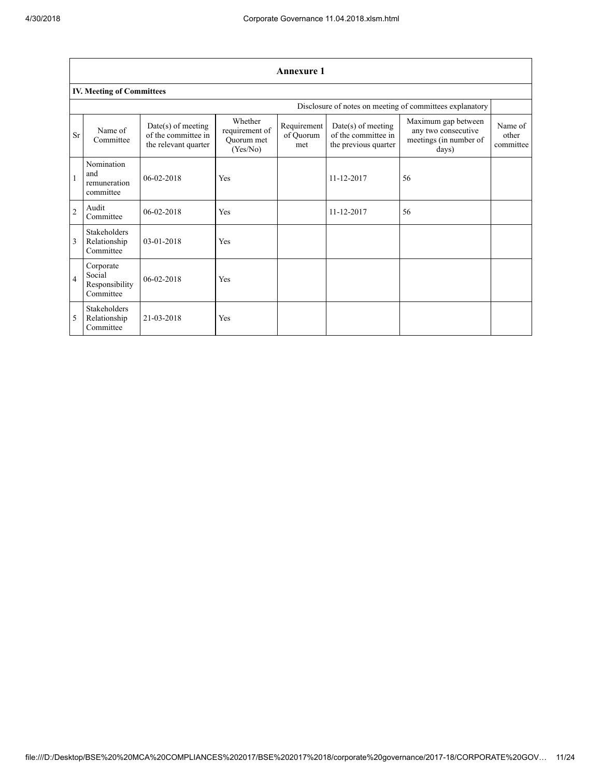|                | <b>Annexure 1</b>                                  |                                                                     |                                                     |                                 |                                                                     |                                                                               |                               |  |
|----------------|----------------------------------------------------|---------------------------------------------------------------------|-----------------------------------------------------|---------------------------------|---------------------------------------------------------------------|-------------------------------------------------------------------------------|-------------------------------|--|
|                | <b>IV. Meeting of Committees</b>                   |                                                                     |                                                     |                                 |                                                                     |                                                                               |                               |  |
|                |                                                    |                                                                     |                                                     |                                 |                                                                     | Disclosure of notes on meeting of committees explanatory                      |                               |  |
| Sr             | Name of<br>Committee                               | $Date(s)$ of meeting<br>of the committee in<br>the relevant quarter | Whether<br>requirement of<br>Quorum met<br>(Yes/No) | Requirement<br>of Quorum<br>met | $Date(s)$ of meeting<br>of the committee in<br>the previous quarter | Maximum gap between<br>any two consecutive<br>meetings (in number of<br>days) | Name of<br>other<br>committee |  |
| $\mathbf{1}$   | Nomination<br>and<br>remuneration<br>committee     | $06-02-2018$                                                        | Yes                                                 |                                 | 11-12-2017                                                          | 56                                                                            |                               |  |
| $\overline{2}$ | Audit<br>Committee                                 | 06-02-2018                                                          | Yes                                                 |                                 | 11-12-2017                                                          | 56                                                                            |                               |  |
| 3              | Stakeholders<br>Relationship<br>Committee          | $03-01-2018$                                                        | Yes                                                 |                                 |                                                                     |                                                                               |                               |  |
| $\overline{4}$ | Corporate<br>Social<br>Responsibility<br>Committee | $06-02-2018$                                                        | Yes                                                 |                                 |                                                                     |                                                                               |                               |  |
| 5              | <b>Stakeholders</b><br>Relationship<br>Committee   | 21-03-2018                                                          | Yes                                                 |                                 |                                                                     |                                                                               |                               |  |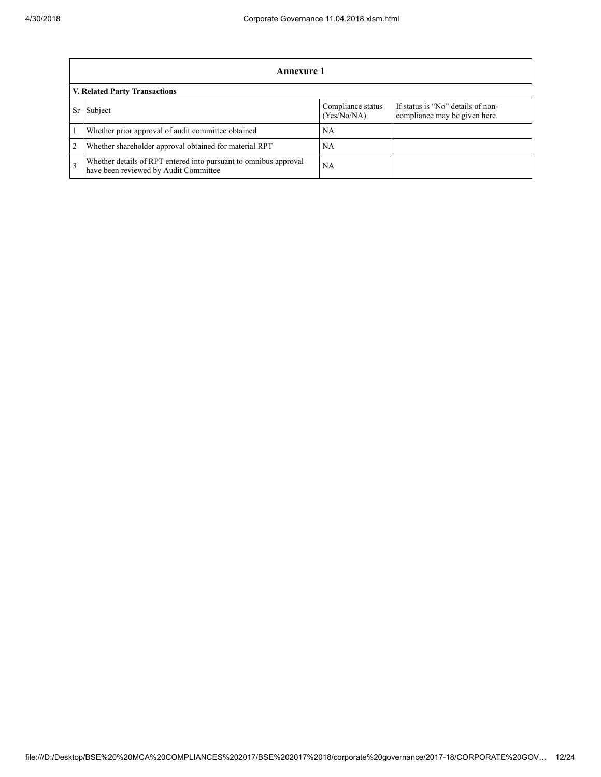|                | Annexure 1                                                                                                |                                  |                                                                    |  |  |  |
|----------------|-----------------------------------------------------------------------------------------------------------|----------------------------------|--------------------------------------------------------------------|--|--|--|
|                | <b>V. Related Party Transactions</b>                                                                      |                                  |                                                                    |  |  |  |
| Sr             | Subject                                                                                                   | Compliance status<br>(Yes/No/NA) | If status is "No" details of non-<br>compliance may be given here. |  |  |  |
|                | Whether prior approval of audit committee obtained                                                        | NA                               |                                                                    |  |  |  |
| $\overline{2}$ | Whether shareholder approval obtained for material RPT                                                    | NA                               |                                                                    |  |  |  |
| $\mathbf{3}$   | Whether details of RPT entered into pursuant to omnibus approval<br>have been reviewed by Audit Committee | NА                               |                                                                    |  |  |  |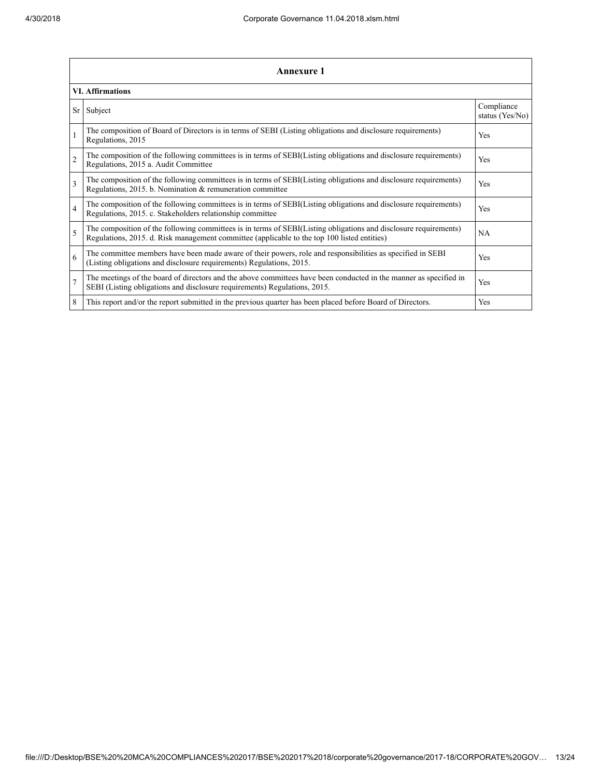|                | <b>Annexure 1</b>                                                                                                                                                                                               |                               |  |  |
|----------------|-----------------------------------------------------------------------------------------------------------------------------------------------------------------------------------------------------------------|-------------------------------|--|--|
|                | <b>VI. Affirmations</b>                                                                                                                                                                                         |                               |  |  |
| Sr             | Subject                                                                                                                                                                                                         | Compliance<br>status (Yes/No) |  |  |
| $\mathbf{1}$   | The composition of Board of Directors is in terms of SEBI (Listing obligations and disclosure requirements)<br>Regulations, 2015                                                                                | Yes                           |  |  |
| $\overline{2}$ | The composition of the following committees is in terms of SEBI(Listing obligations and disclosure requirements)<br>Regulations, 2015 a. Audit Committee                                                        | Yes                           |  |  |
| 3              | The composition of the following committees is in terms of SEBI(Listing obligations and disclosure requirements)<br>Regulations, 2015. b. Nomination & remuneration committee                                   | Yes                           |  |  |
| $\overline{4}$ | The composition of the following committees is in terms of SEBI(Listing obligations and disclosure requirements)<br>Regulations, 2015. c. Stakeholders relationship committee                                   | Yes                           |  |  |
| 5              | The composition of the following committees is in terms of SEBI(Listing obligations and disclosure requirements)<br>Regulations, 2015. d. Risk management committee (applicable to the top 100 listed entities) | <b>NA</b>                     |  |  |
| 6              | The committee members have been made aware of their powers, role and responsibilities as specified in SEBI<br>(Listing obligations and disclosure requirements) Regulations, 2015.                              | Yes                           |  |  |
| $\overline{7}$ | The meetings of the board of directors and the above committees have been conducted in the manner as specified in<br>SEBI (Listing obligations and disclosure requirements) Regulations, 2015.                  | Yes                           |  |  |
| 8              | This report and/or the report submitted in the previous quarter has been placed before Board of Directors.                                                                                                      | Yes                           |  |  |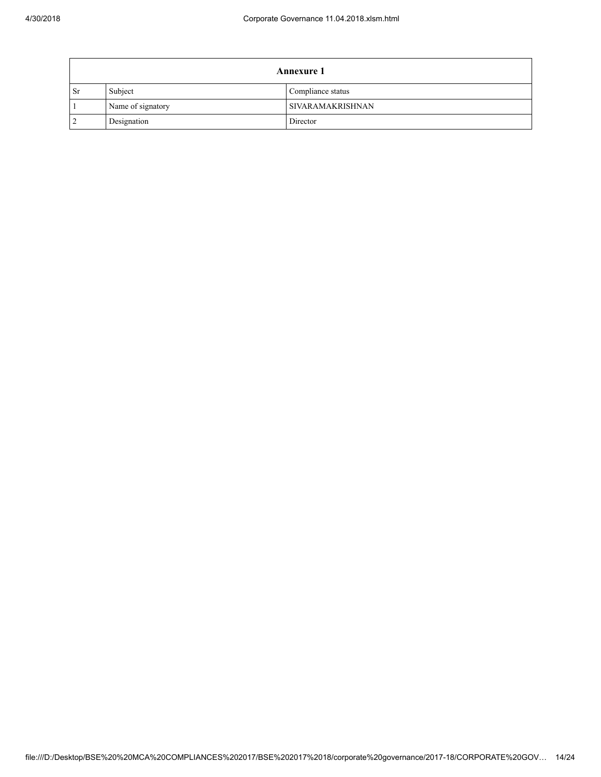$\mathbf{r}$ 

| <b>Annexure 1</b> |                   |                   |  |
|-------------------|-------------------|-------------------|--|
| <b>Sr</b>         | Subject           | Compliance status |  |
|                   | Name of signatory | SIVARAMAKRISHNAN  |  |
| $\overline{2}$    | Designation       | Director          |  |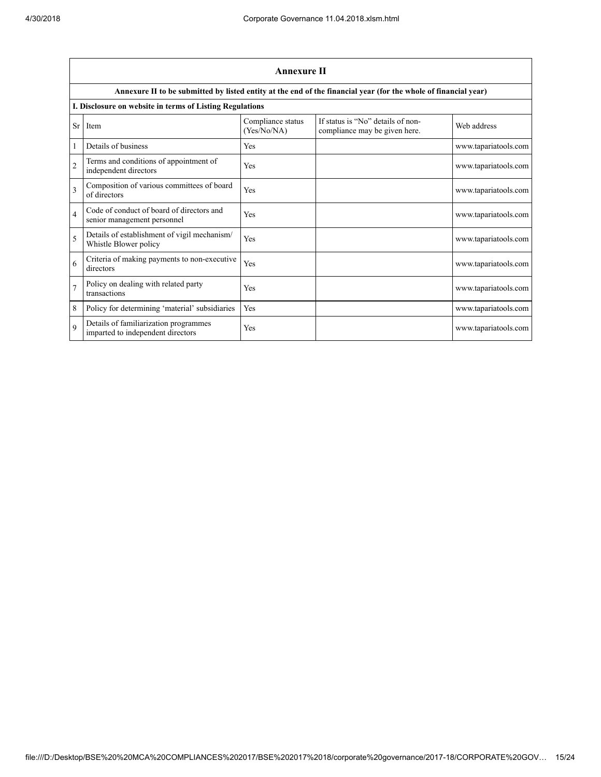|                | <b>Annexure II</b>                                                         |                                  |                                                                                                                 |                      |  |
|----------------|----------------------------------------------------------------------------|----------------------------------|-----------------------------------------------------------------------------------------------------------------|----------------------|--|
|                |                                                                            |                                  | Annexure II to be submitted by listed entity at the end of the financial year (for the whole of financial year) |                      |  |
|                | I. Disclosure on website in terms of Listing Regulations                   |                                  |                                                                                                                 |                      |  |
| Sr             | Item                                                                       | Compliance status<br>(Yes/No/NA) | If status is "No" details of non-<br>compliance may be given here.                                              | Web address          |  |
|                | Details of business                                                        | Yes                              |                                                                                                                 | www.tapariatools.com |  |
| $\overline{c}$ | Terms and conditions of appointment of<br>independent directors            | Yes                              |                                                                                                                 | www.tapariatools.com |  |
| $\mathbf{3}$   | Composition of various committees of board<br>of directors                 | Yes                              |                                                                                                                 | www.tapariatools.com |  |
| $\overline{4}$ | Code of conduct of board of directors and<br>senior management personnel   | Yes                              |                                                                                                                 | www.tapariatools.com |  |
| $\overline{5}$ | Details of establishment of vigil mechanism/<br>Whistle Blower policy      | Yes                              |                                                                                                                 | www.tapariatools.com |  |
| 6              | Criteria of making payments to non-executive<br>directors                  | Yes                              |                                                                                                                 | www.tapariatools.com |  |
| $\overline{7}$ | Policy on dealing with related party<br>transactions                       | Yes                              |                                                                                                                 | www.tapariatools.com |  |
| 8              | Policy for determining 'material' subsidiaries                             | Yes                              |                                                                                                                 | www.tapariatools.com |  |
| $\mathbf Q$    | Details of familiarization programmes<br>imparted to independent directors | Yes                              |                                                                                                                 | www.tapariatools.com |  |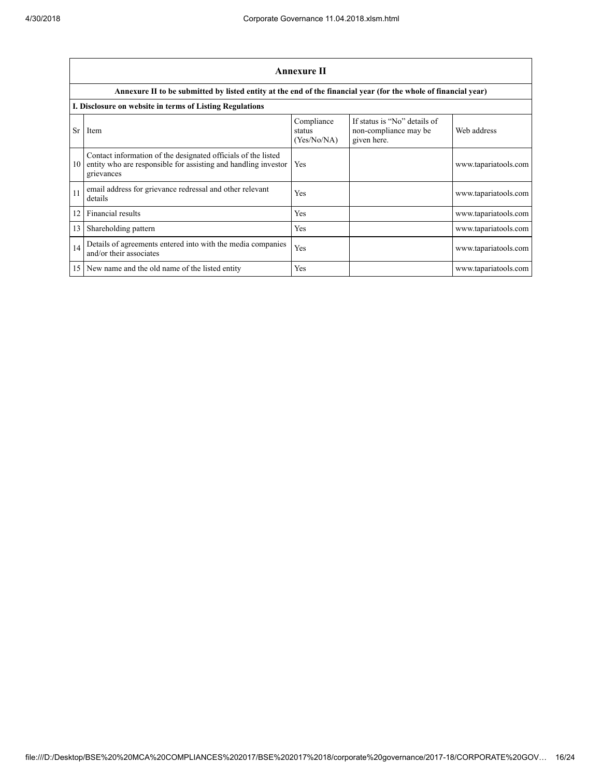|    | Annexure II                                                                                                                                   |                                     |                                                                      |                      |  |
|----|-----------------------------------------------------------------------------------------------------------------------------------------------|-------------------------------------|----------------------------------------------------------------------|----------------------|--|
|    | Annexure II to be submitted by listed entity at the end of the financial year (for the whole of financial year)                               |                                     |                                                                      |                      |  |
|    | I. Disclosure on website in terms of Listing Regulations                                                                                      |                                     |                                                                      |                      |  |
| Sr | Item                                                                                                                                          | Compliance<br>status<br>(Yes/No/NA) | If status is "No" details of<br>non-compliance may be<br>given here. | Web address          |  |
| 10 | Contact information of the designated officials of the listed<br>entity who are responsible for assisting and handling investor<br>grievances | Yes                                 |                                                                      | www.tapariatools.com |  |
| 11 | email address for grievance redressal and other relevant<br>details                                                                           | Yes                                 |                                                                      | www.tapariatools.com |  |
| 12 | Financial results                                                                                                                             | Yes                                 |                                                                      | www.tapariatools.com |  |
| 13 | Shareholding pattern                                                                                                                          | Yes                                 |                                                                      | www.tapariatools.com |  |
| 14 | Details of agreements entered into with the media companies<br>and/or their associates                                                        | Yes                                 |                                                                      | www.tapariatools.com |  |
| 15 | New name and the old name of the listed entity                                                                                                | Yes                                 |                                                                      | www.tapariatools.com |  |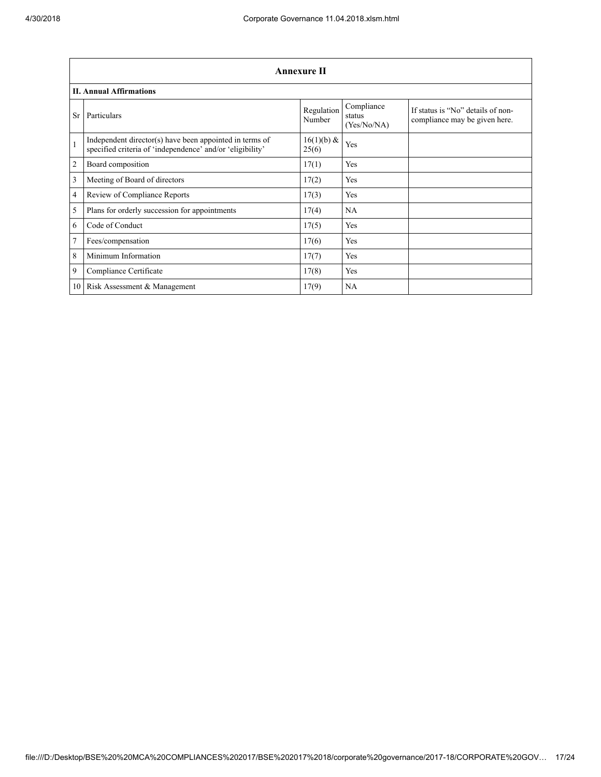|                 | <b>Annexure II</b>                                                                                                   |                       |                                     |                                                                    |  |
|-----------------|----------------------------------------------------------------------------------------------------------------------|-----------------------|-------------------------------------|--------------------------------------------------------------------|--|
|                 | <b>II. Annual Affirmations</b>                                                                                       |                       |                                     |                                                                    |  |
| <b>Sr</b>       | Particulars                                                                                                          | Regulation<br>Number  | Compliance<br>status<br>(Yes/No/NA) | If status is "No" details of non-<br>compliance may be given here. |  |
| $\mathbf{1}$    | Independent director(s) have been appointed in terms of<br>specified criteria of 'independence' and/or 'eligibility' | $16(1)(b)$ &<br>25(6) | Yes                                 |                                                                    |  |
| $\overline{2}$  | Board composition                                                                                                    | 17(1)                 | Yes                                 |                                                                    |  |
| 3               | Meeting of Board of directors                                                                                        | 17(2)                 | Yes                                 |                                                                    |  |
| $\overline{4}$  | Review of Compliance Reports                                                                                         | 17(3)                 | Yes                                 |                                                                    |  |
| 5               | Plans for orderly succession for appointments                                                                        | 17(4)                 | <b>NA</b>                           |                                                                    |  |
| 6               | Code of Conduct                                                                                                      | 17(5)                 | Yes                                 |                                                                    |  |
| $7\phantom{.0}$ | Fees/compensation                                                                                                    | 17(6)                 | Yes                                 |                                                                    |  |
| 8               | Minimum Information                                                                                                  | 17(7)                 | Yes                                 |                                                                    |  |
| 9               | Compliance Certificate                                                                                               | 17(8)                 | Yes                                 |                                                                    |  |
|                 | 10 Risk Assessment & Management                                                                                      | 17(9)                 | NA                                  |                                                                    |  |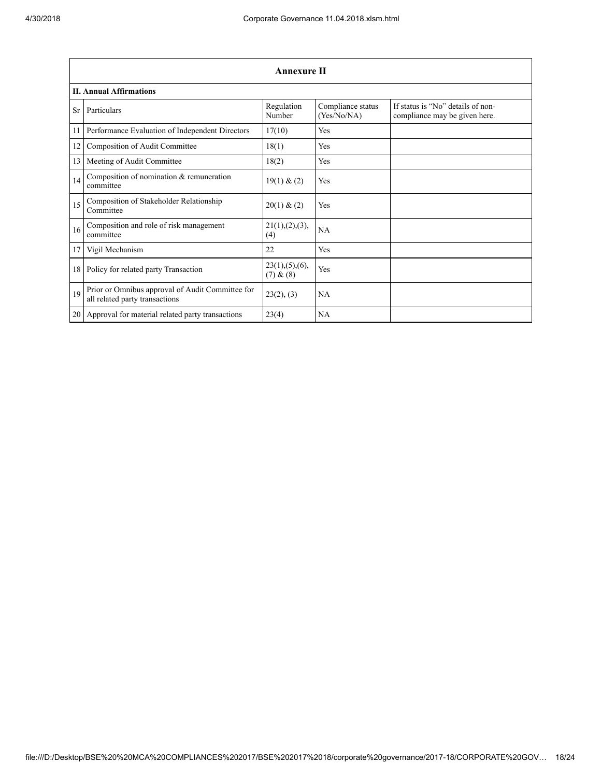|           | <b>Annexure II</b>                                                                 |                               |                                  |                                                                    |
|-----------|------------------------------------------------------------------------------------|-------------------------------|----------------------------------|--------------------------------------------------------------------|
|           | <b>II. Annual Affirmations</b>                                                     |                               |                                  |                                                                    |
| <b>Sr</b> | Particulars                                                                        | Regulation<br>Number          | Compliance status<br>(Yes/No/NA) | If status is "No" details of non-<br>compliance may be given here. |
| 11        | Performance Evaluation of Independent Directors                                    | 17(10)                        | <b>Yes</b>                       |                                                                    |
| 12        | Composition of Audit Committee                                                     | 18(1)                         | Yes                              |                                                                    |
| 13        | Meeting of Audit Committee                                                         | 18(2)                         | Yes                              |                                                                    |
| 14        | Composition of nomination & remuneration<br>committee                              | 19(1) & (2)                   | Yes                              |                                                                    |
| 15        | Composition of Stakeholder Relationship<br>Committee                               | 20(1) & (2)                   | <b>Yes</b>                       |                                                                    |
| 16        | Composition and role of risk management<br>committee                               | 21(1),(2),(3),<br>(4)         | <b>NA</b>                        |                                                                    |
| 17        | Vigil Mechanism                                                                    | 22                            | <b>Yes</b>                       |                                                                    |
| 18        | Policy for related party Transaction                                               | 23(1), (5), (6),<br>(7) & (8) | Yes                              |                                                                    |
| 19        | Prior or Omnibus approval of Audit Committee for<br>all related party transactions | 23(2), (3)                    | NA                               |                                                                    |
| 20        | Approval for material related party transactions                                   | 23(4)                         | NA                               |                                                                    |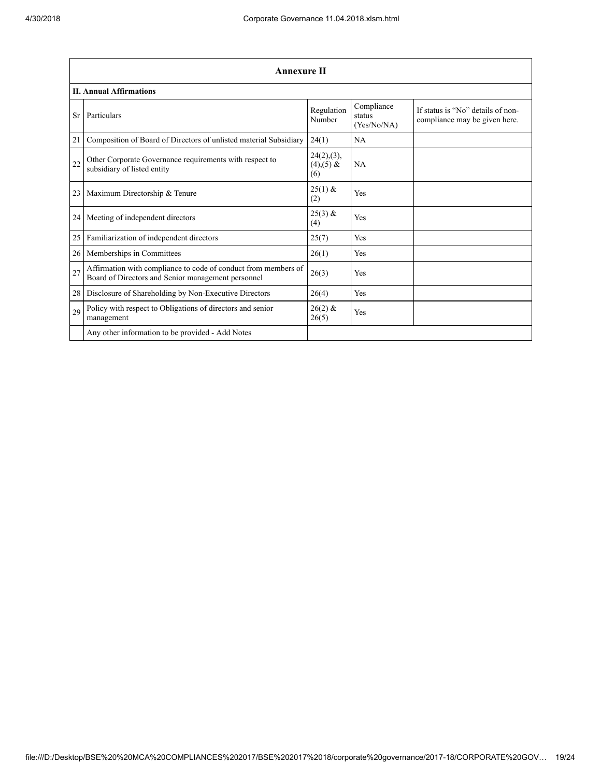|    | <b>Annexure II</b>                                                                                                   |                                      |                                     |                                                                    |
|----|----------------------------------------------------------------------------------------------------------------------|--------------------------------------|-------------------------------------|--------------------------------------------------------------------|
|    | <b>II. Annual Affirmations</b>                                                                                       |                                      |                                     |                                                                    |
| Sr | Particulars                                                                                                          | Regulation<br>Number                 | Compliance<br>status<br>(Yes/No/NA) | If status is "No" details of non-<br>compliance may be given here. |
| 21 | Composition of Board of Directors of unlisted material Subsidiary                                                    | 24(1)                                | NA                                  |                                                                    |
| 22 | Other Corporate Governance requirements with respect to<br>subsidiary of listed entity                               | 24(2),(3),<br>$(4)$ , $(5)$ &<br>(6) | <b>NA</b>                           |                                                                    |
| 23 | Maximum Directorship & Tenure                                                                                        | $25(1)$ &<br>(2)                     | Yes                                 |                                                                    |
| 24 | Meeting of independent directors                                                                                     | $25(3)$ &<br>(4)                     | Yes                                 |                                                                    |
| 25 | Familiarization of independent directors                                                                             | 25(7)                                | Yes                                 |                                                                    |
| 26 | Memberships in Committees                                                                                            | 26(1)                                | Yes                                 |                                                                    |
| 27 | Affirmation with compliance to code of conduct from members of<br>Board of Directors and Senior management personnel | 26(3)                                | Yes                                 |                                                                    |
| 28 | Disclosure of Shareholding by Non-Executive Directors                                                                | 26(4)                                | Yes                                 |                                                                    |
| 29 | Policy with respect to Obligations of directors and senior<br>management                                             | $26(2)$ &<br>26(5)                   | Yes                                 |                                                                    |
|    | Any other information to be provided - Add Notes                                                                     |                                      |                                     |                                                                    |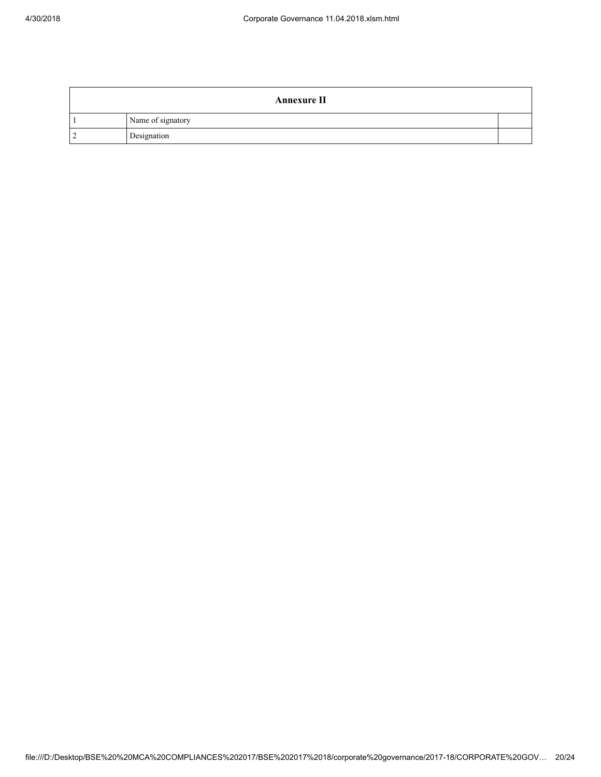| <b>Annexure II</b> |  |
|--------------------|--|
| Name of signatory  |  |
| Designation        |  |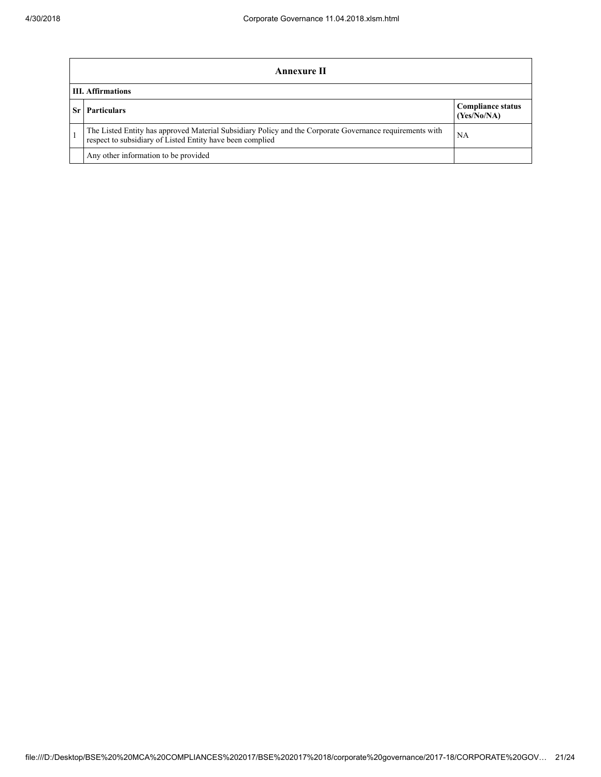|      | Annexure II                                                                                                                                                                 |                                         |  |  |
|------|-----------------------------------------------------------------------------------------------------------------------------------------------------------------------------|-----------------------------------------|--|--|
|      | <b>III.</b> Affirmations                                                                                                                                                    |                                         |  |  |
| Sr I | <b>Particulars</b>                                                                                                                                                          | <b>Compliance status</b><br>(Yes/No/NA) |  |  |
|      | The Listed Entity has approved Material Subsidiary Policy and the Corporate Governance requirements with<br>NA<br>respect to subsidiary of Listed Entity have been complied |                                         |  |  |
|      | Any other information to be provided                                                                                                                                        |                                         |  |  |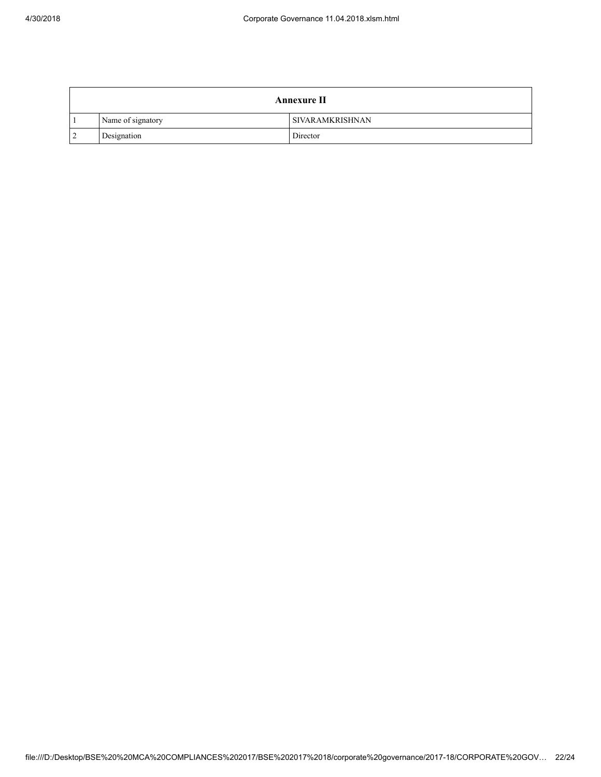|                | <b>Annexure II</b> |                        |  |  |
|----------------|--------------------|------------------------|--|--|
|                | Name of signatory  | <b>SIVARAMKRISHNAN</b> |  |  |
| $\overline{2}$ | Designation        | Director               |  |  |